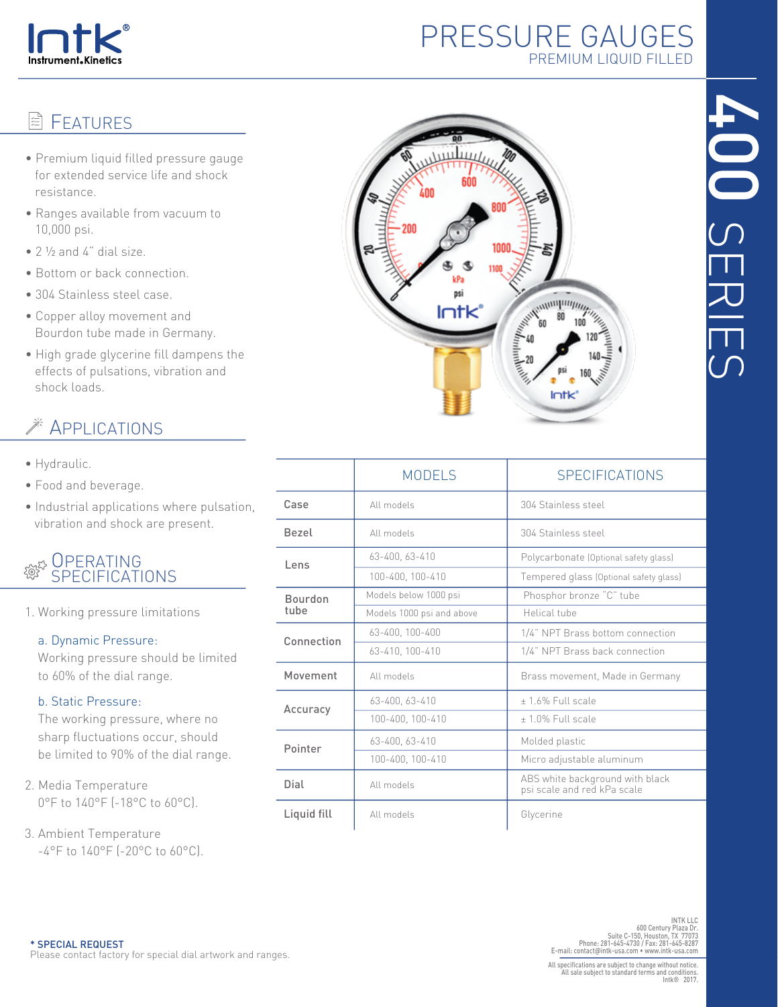

## PRESSURE GAUGES PREMIUM LIQUID FILLED

# **图 FEATURES**

- Premium liquid filled pressure gauge for extended service life and shock resistance.
- Ranges available from vacuum to 10,000 psi.
- 2 ½ and 4" dial size.
- Bottom or back connection.
- 304 Stainless steel case.
- Copper alloy movement and Bourdon tube made in Germany.
- High grade glycerine fill dampens the effects of pulsations, vibration and shock loads.

## **EXAMPLICATIONS**

- Hydraulic.
- Food and beverage.
- Industrial applications where pulsation, vibration and shock are present.

### **OPERATING** SPECIFICATIONS

1. Working pressure limitations

#### a. Dynamic Pressure:

 Working pressure should be limited to 60% of the dial range.

#### b. Static Pressure:

 The working pressure, where no sharp fluctuations occur, should be limited to 90% of the dial range.

- 2. Media Temperature 0°F to 140°F (-18°C to 60°C).
- 3. Ambient Temperature -4°F to 140°F (-20°C to 60°C).



|                        | <b>MODELS</b>             | <b>SPECIFICATIONS</b>                                          |  |  |  |
|------------------------|---------------------------|----------------------------------------------------------------|--|--|--|
| Case                   | All models                | 304 Stainless steel                                            |  |  |  |
| <b>Bezel</b>           | All models                | 304 Stainless steel                                            |  |  |  |
| Lens                   | 63-400. 63-410            | Polycarbonate (Optional safety glass)                          |  |  |  |
|                        | 100-400, 100-410          | Tempered glass (Optional safety glass)                         |  |  |  |
| <b>Bourdon</b><br>tube | Models below 1000 psi     | Phosphor bronze "C" tube                                       |  |  |  |
|                        | Models 1000 psi and above | Helical tube                                                   |  |  |  |
| Connection             | 63-400, 100-400           | 1/4" NPT Brass bottom connection                               |  |  |  |
|                        | 63-410, 100-410           | 1/4" NPT Brass back connection                                 |  |  |  |
| Movement               | All models                | Brass movement, Made in Germany                                |  |  |  |
| Accuracy               | 63-400, 63-410            | +1.6% Full scale                                               |  |  |  |
|                        | 100-400, 100-410          | $+1.0\%$ Full scale                                            |  |  |  |
| Pointer                | 63-400, 63-410            | Molded plastic                                                 |  |  |  |
|                        | 100-400, 100-410          | Micro adjustable aluminum                                      |  |  |  |
| Dial                   | All models                | ABS white background with black<br>psi scale and red kPa scale |  |  |  |
| Liquid fill            | All models                | Glycerine                                                      |  |  |  |